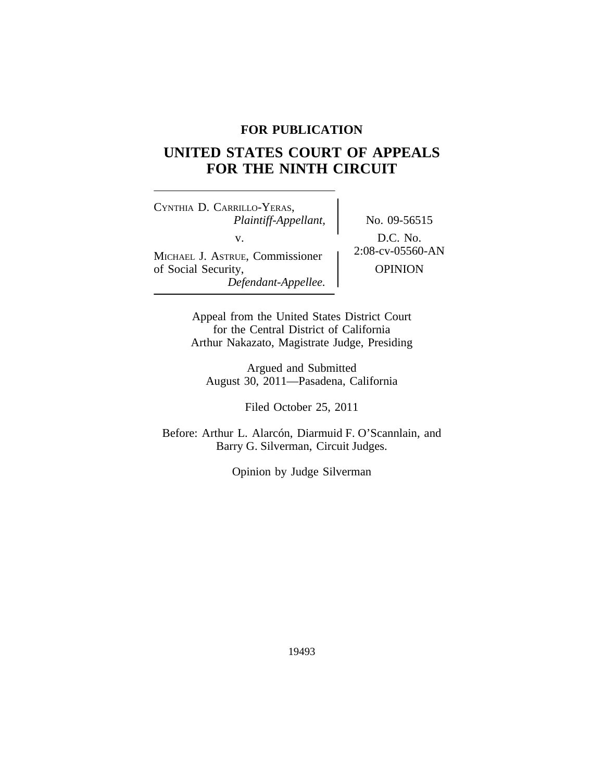# **FOR PUBLICATION**

# **UNITED STATES COURT OF APPEALS FOR THE NINTH CIRCUIT**

<sup>C</sup>YNTHIA D. CARRILLO-YERAS, *Plaintiff-Appellant,* No. 09-56515 v.  $D.C. No.$ <br>Fr. Commissioner  $2:08$ -cv-05560-AN MICHAEL J. ASTRUE, Commissioner of Social Security,  $OPINION$ *Defendant-Appellee.*

Appeal from the United States District Court for the Central District of California Arthur Nakazato, Magistrate Judge, Presiding

Argued and Submitted August 30, 2011—Pasadena, California

Filed October 25, 2011

Before: Arthur L. Alarcón, Diarmuid F. O'Scannlain, and Barry G. Silverman, Circuit Judges.

Opinion by Judge Silverman

19493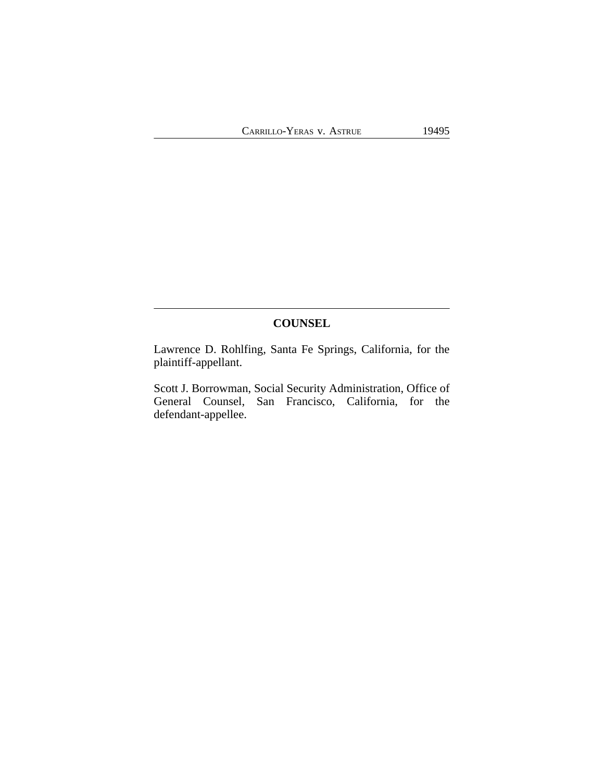# **COUNSEL**

Lawrence D. Rohlfing, Santa Fe Springs, California, for the plaintiff-appellant.

Scott J. Borrowman, Social Security Administration, Office of General Counsel, San Francisco, California, for the defendant-appellee.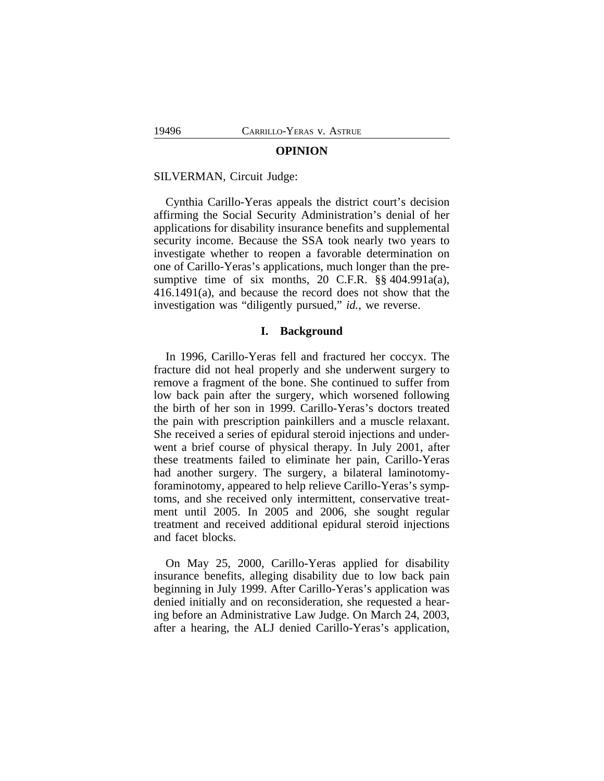#### **OPINION**

#### SILVERMAN, Circuit Judge:

Cynthia Carillo-Yeras appeals the district court's decision affirming the Social Security Administration's denial of her applications for disability insurance benefits and supplemental security income. Because the SSA took nearly two years to investigate whether to reopen a favorable determination on one of Carillo-Yeras's applications, much longer than the presumptive time of six months, 20 C.F.R. §§ 404.991a(a), 416.1491(a), and because the record does not show that the investigation was "diligently pursued," *id.*, we reverse.

### **I. Background**

In 1996, Carillo-Yeras fell and fractured her coccyx. The fracture did not heal properly and she underwent surgery to remove a fragment of the bone. She continued to suffer from low back pain after the surgery, which worsened following the birth of her son in 1999. Carillo-Yeras's doctors treated the pain with prescription painkillers and a muscle relaxant. She received a series of epidural steroid injections and underwent a brief course of physical therapy. In July 2001, after these treatments failed to eliminate her pain, Carillo-Yeras had another surgery. The surgery, a bilateral laminotomyforaminotomy, appeared to help relieve Carillo-Yeras's symptoms, and she received only intermittent, conservative treatment until 2005. In 2005 and 2006, she sought regular treatment and received additional epidural steroid injections and facet blocks.

On May 25, 2000, Carillo-Yeras applied for disability insurance benefits, alleging disability due to low back pain beginning in July 1999. After Carillo-Yeras's application was denied initially and on reconsideration, she requested a hearing before an Administrative Law Judge. On March 24, 2003, after a hearing, the ALJ denied Carillo-Yeras's application,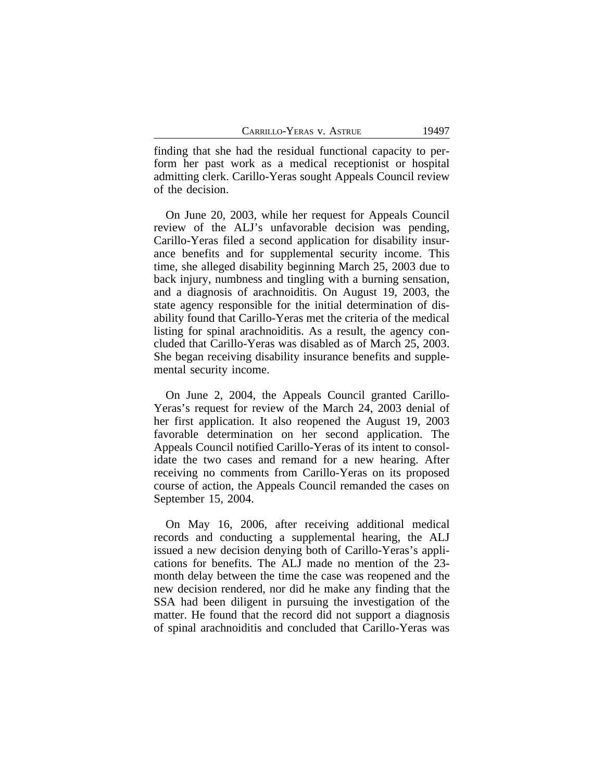finding that she had the residual functional capacity to perform her past work as a medical receptionist or hospital admitting clerk. Carillo-Yeras sought Appeals Council review of the decision.

On June 20, 2003, while her request for Appeals Council review of the ALJ's unfavorable decision was pending, Carillo-Yeras filed a second application for disability insurance benefits and for supplemental security income. This time, she alleged disability beginning March 25, 2003 due to back injury, numbness and tingling with a burning sensation, and a diagnosis of arachnoiditis. On August 19, 2003, the state agency responsible for the initial determination of disability found that Carillo-Yeras met the criteria of the medical listing for spinal arachnoiditis. As a result, the agency concluded that Carillo-Yeras was disabled as of March 25, 2003. She began receiving disability insurance benefits and supplemental security income.

On June 2, 2004, the Appeals Council granted Carillo-Yeras's request for review of the March 24, 2003 denial of her first application. It also reopened the August 19, 2003 favorable determination on her second application. The Appeals Council notified Carillo-Yeras of its intent to consolidate the two cases and remand for a new hearing. After receiving no comments from Carillo-Yeras on its proposed course of action, the Appeals Council remanded the cases on September 15, 2004.

On May 16, 2006, after receiving additional medical records and conducting a supplemental hearing, the ALJ issued a new decision denying both of Carillo-Yeras's applications for benefits. The ALJ made no mention of the 23 month delay between the time the case was reopened and the new decision rendered, nor did he make any finding that the SSA had been diligent in pursuing the investigation of the matter. He found that the record did not support a diagnosis of spinal arachnoiditis and concluded that Carillo-Yeras was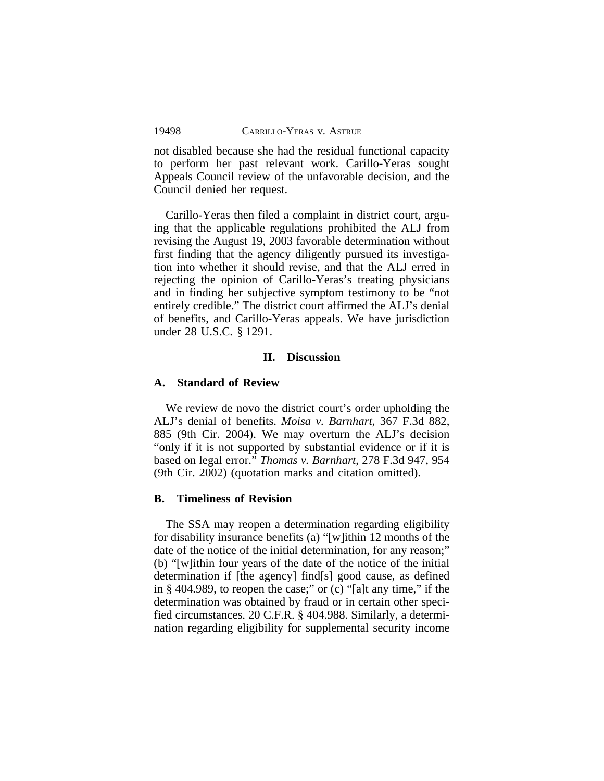not disabled because she had the residual functional capacity to perform her past relevant work. Carillo-Yeras sought Appeals Council review of the unfavorable decision, and the Council denied her request.

Carillo-Yeras then filed a complaint in district court, arguing that the applicable regulations prohibited the ALJ from revising the August 19, 2003 favorable determination without first finding that the agency diligently pursued its investigation into whether it should revise, and that the ALJ erred in rejecting the opinion of Carillo-Yeras's treating physicians and in finding her subjective symptom testimony to be "not entirely credible." The district court affirmed the ALJ's denial of benefits, and Carillo-Yeras appeals. We have jurisdiction under 28 U.S.C. § 1291.

### **II. Discussion**

#### **A. Standard of Review**

We review de novo the district court's order upholding the ALJ's denial of benefits. *Moisa v. Barnhart*, 367 F.3d 882, 885 (9th Cir. 2004). We may overturn the ALJ's decision "only if it is not supported by substantial evidence or if it is based on legal error." *Thomas v. Barnhart*, 278 F.3d 947, 954 (9th Cir. 2002) (quotation marks and citation omitted).

## **B. Timeliness of Revision**

The SSA may reopen a determination regarding eligibility for disability insurance benefits (a) "[w]ithin 12 months of the date of the notice of the initial determination, for any reason;" (b) "[w]ithin four years of the date of the notice of the initial determination if [the agency] find[s] good cause, as defined in § 404.989, to reopen the case;" or (c) "[a]t any time," if the determination was obtained by fraud or in certain other specified circumstances. 20 C.F.R. § 404.988. Similarly, a determination regarding eligibility for supplemental security income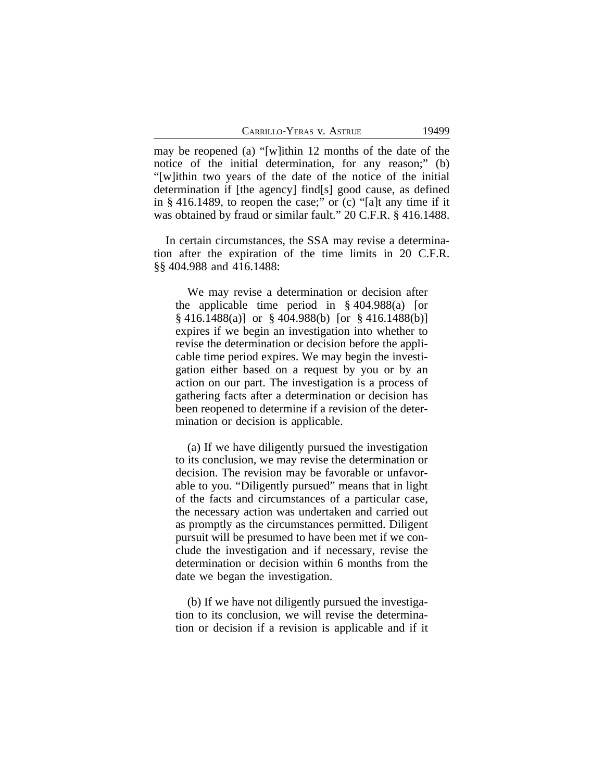may be reopened (a) "[w]ithin 12 months of the date of the notice of the initial determination, for any reason;" (b) "[w]ithin two years of the date of the notice of the initial determination if [the agency] find[s] good cause, as defined in § 416.1489, to reopen the case;" or (c) "[a]t any time if it was obtained by fraud or similar fault." 20 C.F.R. § 416.1488.

In certain circumstances, the SSA may revise a determination after the expiration of the time limits in 20 C.F.R. §§ 404.988 and 416.1488:

We may revise a determination or decision after the applicable time period in § 404.988(a) [or § 416.1488(a)] or § 404.988(b) [or § 416.1488(b)] expires if we begin an investigation into whether to revise the determination or decision before the applicable time period expires. We may begin the investigation either based on a request by you or by an action on our part. The investigation is a process of gathering facts after a determination or decision has been reopened to determine if a revision of the determination or decision is applicable.

(a) If we have diligently pursued the investigation to its conclusion, we may revise the determination or decision. The revision may be favorable or unfavorable to you. "Diligently pursued" means that in light of the facts and circumstances of a particular case, the necessary action was undertaken and carried out as promptly as the circumstances permitted. Diligent pursuit will be presumed to have been met if we conclude the investigation and if necessary, revise the determination or decision within 6 months from the date we began the investigation.

(b) If we have not diligently pursued the investigation to its conclusion, we will revise the determination or decision if a revision is applicable and if it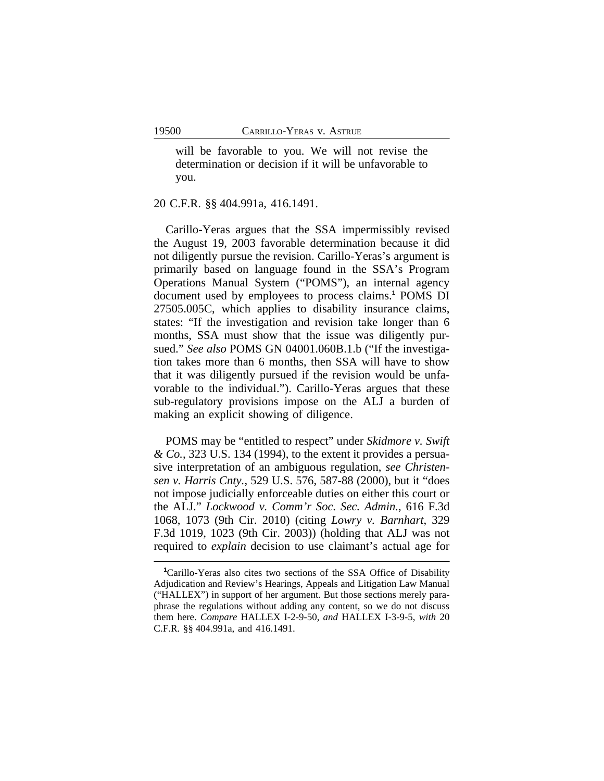will be favorable to you. We will not revise the determination or decision if it will be unfavorable to you.

20 C.F.R. §§ 404.991a, 416.1491.

Carillo-Yeras argues that the SSA impermissibly revised the August 19, 2003 favorable determination because it did not diligently pursue the revision. Carillo-Yeras's argument is primarily based on language found in the SSA's Program Operations Manual System ("POMS"), an internal agency document used by employees to process claims.**<sup>1</sup>** POMS DI 27505.005C, which applies to disability insurance claims, states: "If the investigation and revision take longer than 6 months, SSA must show that the issue was diligently pursued." *See also* POMS GN 04001.060B.1.b ("If the investigation takes more than 6 months, then SSA will have to show that it was diligently pursued if the revision would be unfavorable to the individual."). Carillo-Yeras argues that these sub-regulatory provisions impose on the ALJ a burden of making an explicit showing of diligence.

POMS may be "entitled to respect" under *Skidmore v. Swift & Co.*, 323 U.S. 134 (1994), to the extent it provides a persuasive interpretation of an ambiguous regulation, *see Christensen v. Harris Cnty.*, 529 U.S. 576, 587-88 (2000), but it "does not impose judicially enforceable duties on either this court or the ALJ." *Lockwood v. Comm'r Soc. Sec. Admin.*, 616 F.3d 1068, 1073 (9th Cir. 2010) (citing *Lowry v. Barnhart*, 329 F.3d 1019, 1023 (9th Cir. 2003)) (holding that ALJ was not required to *explain* decision to use claimant's actual age for

**<sup>1</sup>**Carillo-Yeras also cites two sections of the SSA Office of Disability Adjudication and Review's Hearings, Appeals and Litigation Law Manual ("HALLEX") in support of her argument. But those sections merely paraphrase the regulations without adding any content, so we do not discuss them here. *Compare* HALLEX I-2-9-50, *and* HALLEX I-3-9-5, *with* 20 C.F.R. §§ 404.991a, and 416.1491.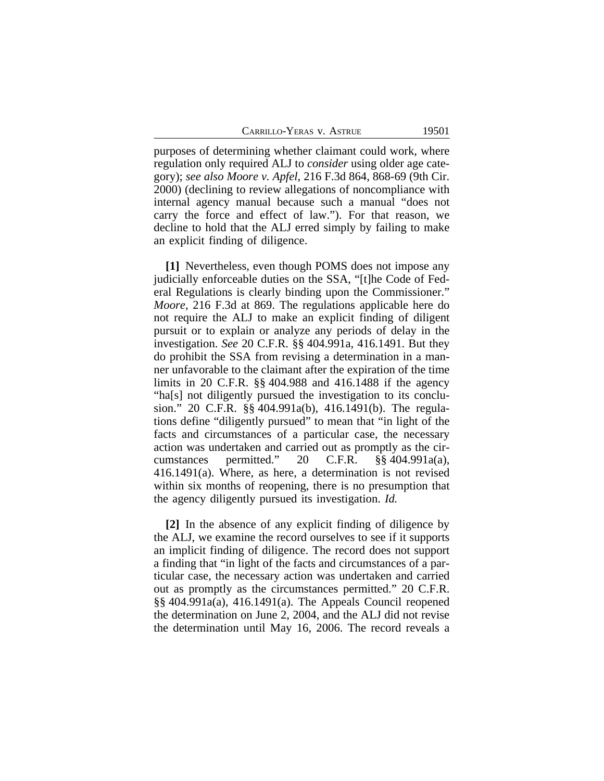CARRILLO-YERAS V. ASTRUE 19501

purposes of determining whether claimant could work, where regulation only required ALJ to *consider* using older age category); *see also Moore v. Apfel*, 216 F.3d 864, 868-69 (9th Cir. 2000) (declining to review allegations of noncompliance with internal agency manual because such a manual "does not carry the force and effect of law."). For that reason, we decline to hold that the ALJ erred simply by failing to make an explicit finding of diligence.

**[1]** Nevertheless, even though POMS does not impose any judicially enforceable duties on the SSA, "[t]he Code of Federal Regulations is clearly binding upon the Commissioner." *Moore*, 216 F.3d at 869. The regulations applicable here do not require the ALJ to make an explicit finding of diligent pursuit or to explain or analyze any periods of delay in the investigation. *See* 20 C.F.R. §§ 404.991a, 416.1491. But they do prohibit the SSA from revising a determination in a manner unfavorable to the claimant after the expiration of the time limits in 20 C.F.R. §§ 404.988 and 416.1488 if the agency "ha[s] not diligently pursued the investigation to its conclusion." 20 C.F.R. §§ 404.991a(b), 416.1491(b). The regulations define "diligently pursued" to mean that "in light of the facts and circumstances of a particular case, the necessary action was undertaken and carried out as promptly as the circumstances permitted." 20 C.F.R. §§ 404.991a(a), 416.1491(a). Where, as here, a determination is not revised within six months of reopening, there is no presumption that the agency diligently pursued its investigation. *Id.*

**[2]** In the absence of any explicit finding of diligence by the ALJ, we examine the record ourselves to see if it supports an implicit finding of diligence. The record does not support a finding that "in light of the facts and circumstances of a particular case, the necessary action was undertaken and carried out as promptly as the circumstances permitted." 20 C.F.R. §§ 404.991a(a), 416.1491(a). The Appeals Council reopened the determination on June 2, 2004, and the ALJ did not revise the determination until May 16, 2006. The record reveals a